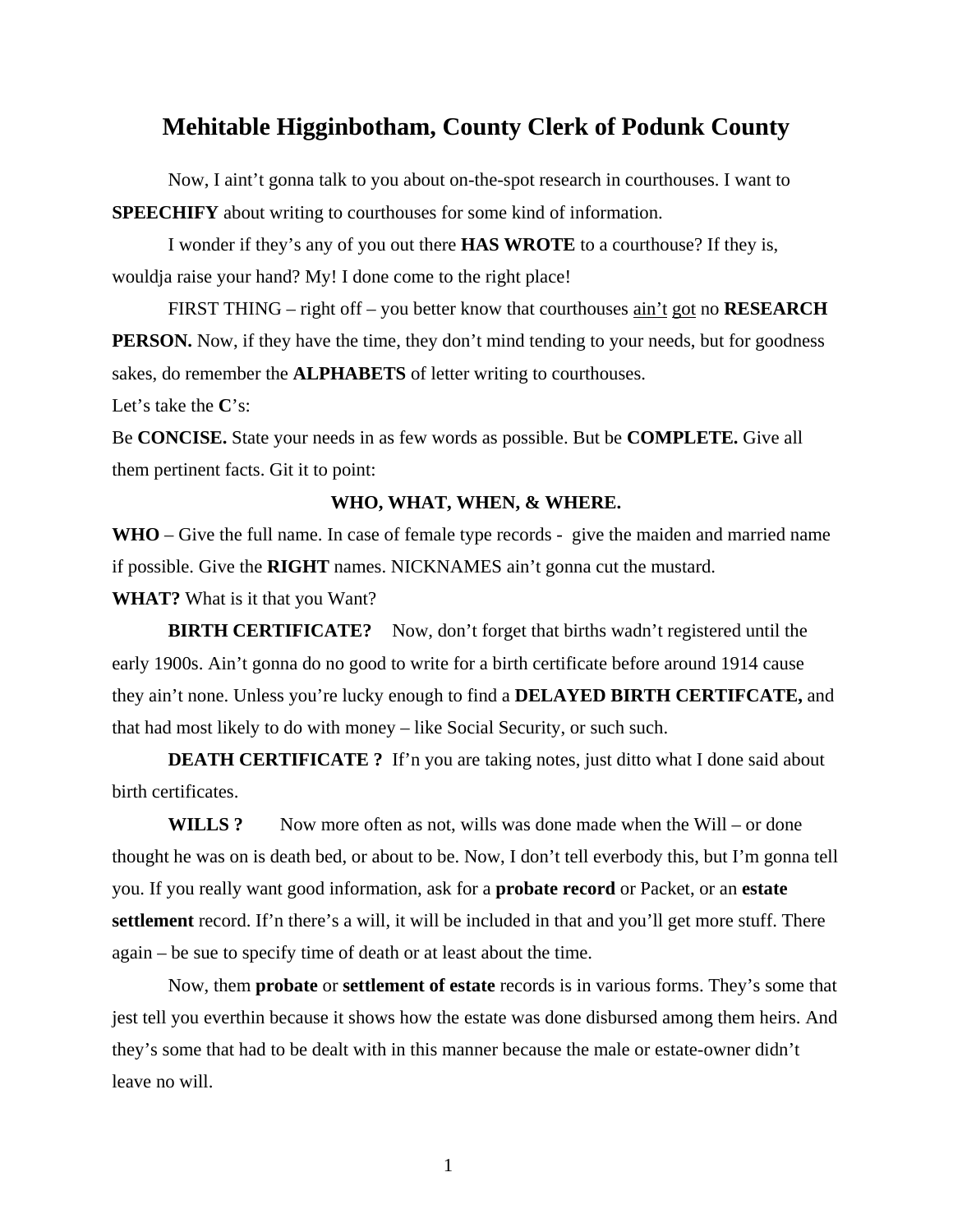## **Mehitable Higginbotham, County Clerk of Podunk County**

 Now, I aint't gonna talk to you about on-the-spot research in courthouses. I want to **SPEECHIFY** about writing to courthouses for some kind of information.

 I wonder if they's any of you out there **HAS WROTE** to a courthouse? If they is, wouldja raise your hand? My! I done come to the right place!

 FIRST THING – right off – you better know that courthouses ain't got no **RESEARCH PERSON.** Now, if they have the time, they don't mind tending to your needs, but for goodness sakes, do remember the **ALPHABETS** of letter writing to courthouses.

Let's take the **C**'s:

Be **CONCISE.** State your needs in as few words as possible. But be **COMPLETE.** Give all them pertinent facts. Git it to point:

## **WHO, WHAT, WHEN, & WHERE.**

**WHO** – Give the full name. In case of female type records - give the maiden and married name if possible. Give the **RIGHT** names. NICKNAMES ain't gonna cut the mustard.

**WHAT?** What is it that you Want?

**BIRTH CERTIFICATE?** Now, don't forget that births wadn't registered until the early 1900s. Ain't gonna do no good to write for a birth certificate before around 1914 cause they ain't none. Unless you're lucky enough to find a **DELAYED BIRTH CERTIFCATE,** and that had most likely to do with money – like Social Security, or such such.

**DEATH CERTIFICATE ?** If'n you are taking notes, just ditto what I done said about birth certificates.

**WILLS ?** Now more often as not, wills was done made when the Will – or done thought he was on is death bed, or about to be. Now, I don't tell everbody this, but I'm gonna tell you. If you really want good information, ask for a **probate record** or Packet, or an **estate settlement** record. If'n there's a will, it will be included in that and you'll get more stuff. There again – be sue to specify time of death or at least about the time.

 Now, them **probate** or **settlement of estate** records is in various forms. They's some that jest tell you everthin because it shows how the estate was done disbursed among them heirs. And they's some that had to be dealt with in this manner because the male or estate-owner didn't leave no will.

1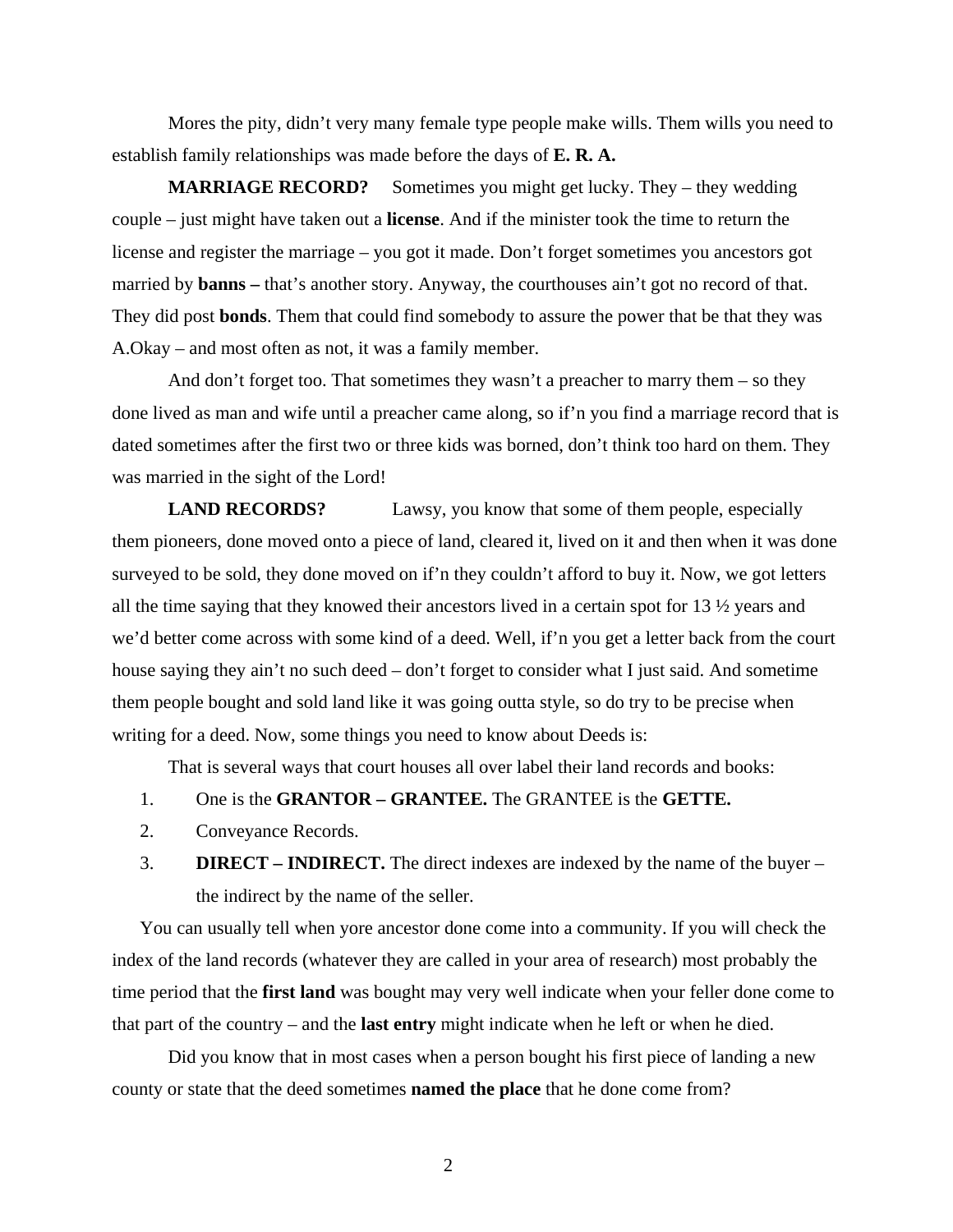Mores the pity, didn't very many female type people make wills. Them wills you need to establish family relationships was made before the days of **E. R. A.** 

**MARRIAGE RECORD?** Sometimes you might get lucky. They – they wedding couple – just might have taken out a **license**. And if the minister took the time to return the license and register the marriage – you got it made. Don't forget sometimes you ancestors got married by **banns** – that's another story. Anyway, the courthouses ain't got no record of that. They did post **bonds**. Them that could find somebody to assure the power that be that they was A.Okay – and most often as not, it was a family member.

 And don't forget too. That sometimes they wasn't a preacher to marry them – so they done lived as man and wife until a preacher came along, so if'n you find a marriage record that is dated sometimes after the first two or three kids was borned, don't think too hard on them. They was married in the sight of the Lord!

**LAND RECORDS?** Lawsy, you know that some of them people, especially them pioneers, done moved onto a piece of land, cleared it, lived on it and then when it was done surveyed to be sold, they done moved on if'n they couldn't afford to buy it. Now, we got letters all the time saying that they knowed their ancestors lived in a certain spot for 13 ½ years and we'd better come across with some kind of a deed. Well, if'n you get a letter back from the court house saying they ain't no such deed – don't forget to consider what I just said. And sometime them people bought and sold land like it was going outta style, so do try to be precise when writing for a deed. Now, some things you need to know about Deeds is:

That is several ways that court houses all over label their land records and books:

- 1. One is the **GRANTOR GRANTEE.** The GRANTEE is the **GETTE.**
- 2. Conveyance Records.
- 3. **DIRECT INDIRECT.** The direct indexes are indexed by the name of the buyer the indirect by the name of the seller.

You can usually tell when yore ancestor done come into a community. If you will check the index of the land records (whatever they are called in your area of research) most probably the time period that the **first land** was bought may very well indicate when your feller done come to that part of the country – and the **last entry** might indicate when he left or when he died.

 Did you know that in most cases when a person bought his first piece of landing a new county or state that the deed sometimes **named the place** that he done come from?

2